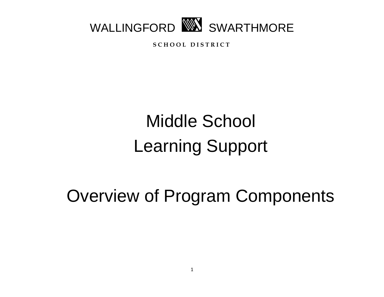

**S C H O O L D I S T R I C T**

# Middle School Learning Support

Overview of Program Components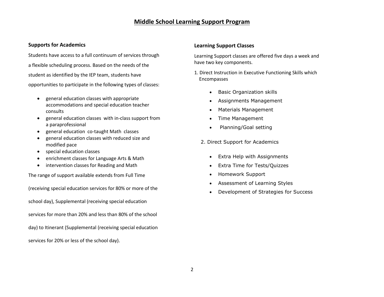## **Middle School Learning Support Program**

### **Supports for Academics**

Students have access to a full continuum of services through a flexible scheduling process. Based on the needs of the student as identified by the IEP team, students have opportunities to participate in the following types of classes:

- general education classes with appropriate accommodations and special education teacher consults
- general education classes with in-class support from a paraprofessional
- general education co-taught Math classes
- general education classes with reduced size and modified pace
- special education classes
- enrichment classes for Language Arts & Math
- intervention classes for Reading and Math

The range of support available extends from Full Time

(receiving special education services for 80% or more of the school day), Supplemental (receiving special education

services for more than 20% and less than 80% of the school

day) to Itinerant (Supplemental (receiving special education

services for 20% or less of the school day).

### **Learning Support Classes**

Learning Support classes are offered five days a week and have two key components.

1. Direct Instruction in Executive Functioning Skills which Encompasses

- Basic Organization skills
- Assignments Management
- Materials Management
- Time Management
- Planning/Goal setting

2. Direct Support for Academics

- Extra Help with Assignments
- Extra Time for Tests/Quizzes
- Homework Support
- Assessment of Learning Styles
- Development of Strategies for Success